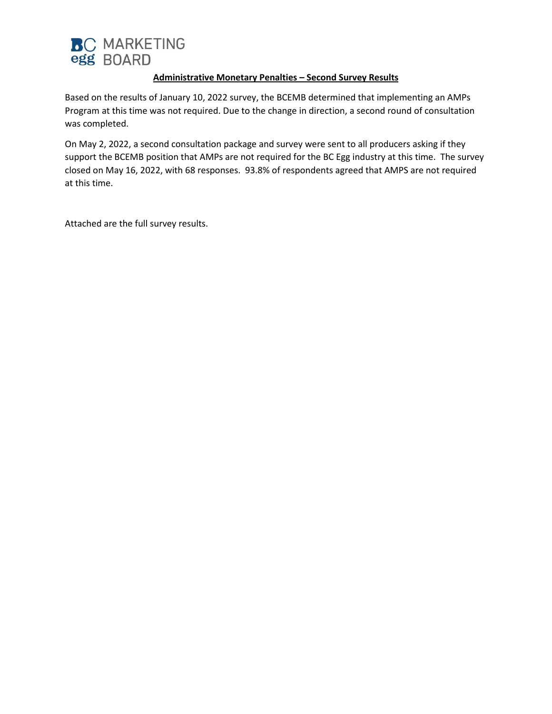

## **Administrative Monetary Penalties – Second Survey Results**

Based on the results of January 10, 2022 survey, the BCEMB determined that implementing an AMPs Program at this time was not required. Due to the change in direction, a second round of consultation was completed.

On May 2, 2022, a second consultation package and survey were sent to all producers asking if they support the BCEMB position that AMPs are not required for the BC Egg industry at this time. The survey closed on May 16, 2022, with 68 responses. 93.8% of respondents agreed that AMPS are not required at this time.

Attached are the full survey results.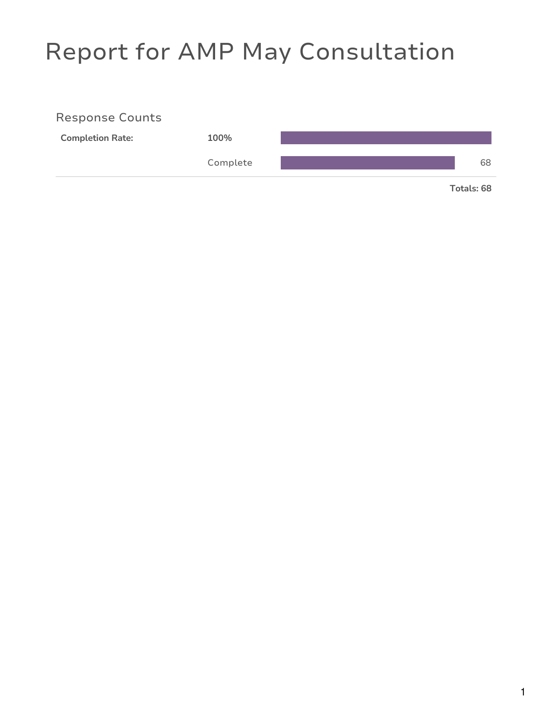## Report for AMP May Consultation

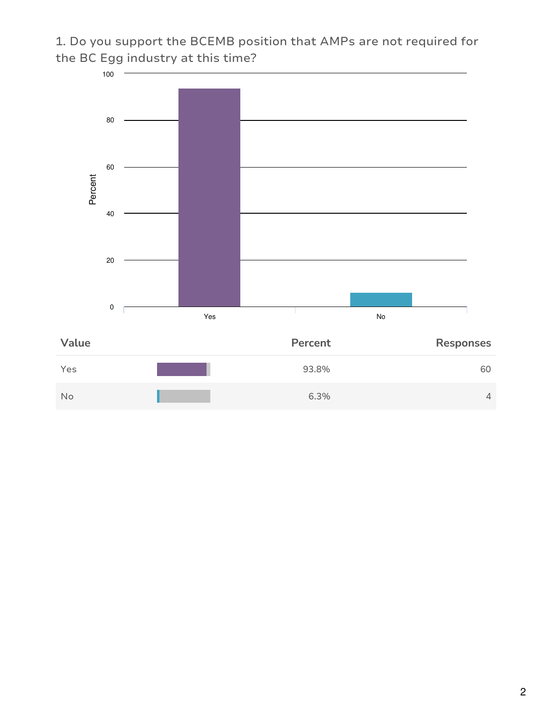1. Do you support the BCEMB position that AMPs are not required for the BC Egg industry at this time?

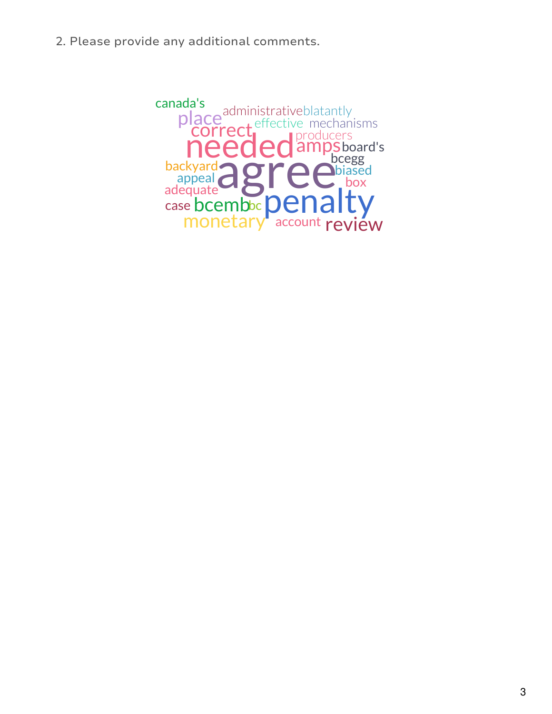2. Please provide any additional comments.